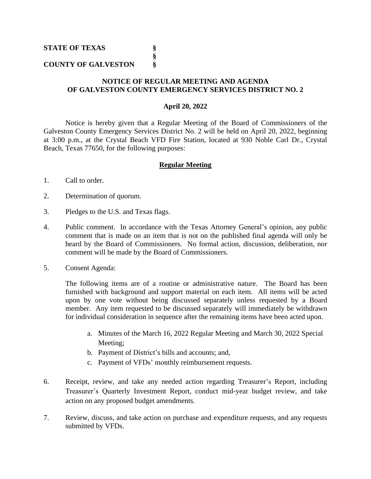## **COUNTY OF GALVESTON §**

## **NOTICE OF REGULAR MEETING AND AGENDA OF GALVESTON COUNTY EMERGENCY SERVICES DISTRICT NO. 2**

**§**

## **April 20, 2022**

Notice is hereby given that a Regular Meeting of the Board of Commissioners of the Galveston County Emergency Services District No. 2 will be held on April 20, 2022, beginning at 3:00 p.m., at the Crystal Beach VFD Fire Station, located at 930 Noble Carl Dr., Crystal Beach, Texas 77650, for the following purposes:

## **Regular Meeting**

- 1. Call to order.
- 2. Determination of quorum.
- 3. Pledges to the U.S. and Texas flags.
- 4. Public comment. In accordance with the Texas Attorney General's opinion, any public comment that is made on an item that is not on the published final agenda will only be heard by the Board of Commissioners. No formal action, discussion, deliberation, nor comment will be made by the Board of Commissioners.
- 5. Consent Agenda:

The following items are of a routine or administrative nature. The Board has been furnished with background and support material on each item. All items will be acted upon by one vote without being discussed separately unless requested by a Board member. Any item requested to be discussed separately will immediately be withdrawn for individual consideration in sequence after the remaining items have been acted upon.

- a. Minutes of the March 16, 2022 Regular Meeting and March 30, 2022 Special Meeting;
- b. Payment of District's bills and accounts; and,
- c. Payment of VFDs' monthly reimbursement requests.
- 6. Receipt, review, and take any needed action regarding Treasurer's Report, including Treasurer's Quarterly Investment Report, conduct mid-year budget review, and take action on any proposed budget amendments.
- 7. Review, discuss, and take action on purchase and expenditure requests, and any requests submitted by VFDs.